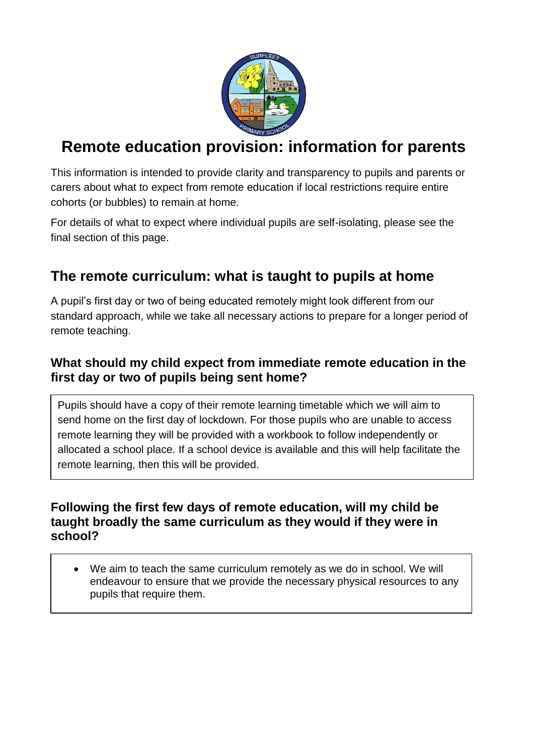

# **Remote education provision: information for parents**

This information is intended to provide clarity and transparency to pupils and parents or carers about what to expect from remote education if local restrictions require entire cohorts (or bubbles) to remain at home.

For details of what to expect where individual pupils are self-isolating, please see the final section of this page.

# **The remote curriculum: what is taught to pupils at home**

A pupil's first day or two of being educated remotely might look different from our standard approach, while we take all necessary actions to prepare for a longer period of remote teaching.

## **What should my child expect from immediate remote education in the first day or two of pupils being sent home?**

Pupils should have a copy of their remote learning timetable which we will aim to send home on the first day of lockdown. For those pupils who are unable to access remote learning they will be provided with a workbook to follow independently or allocated a school place. If a school device is available and this will help facilitate the remote learning, then this will be provided.

### **Following the first few days of remote education, will my child be taught broadly the same curriculum as they would if they were in school?**

• We aim to teach the same curriculum remotely as we do in school. We will endeavour to ensure that we provide the necessary physical resources to any pupils that require them.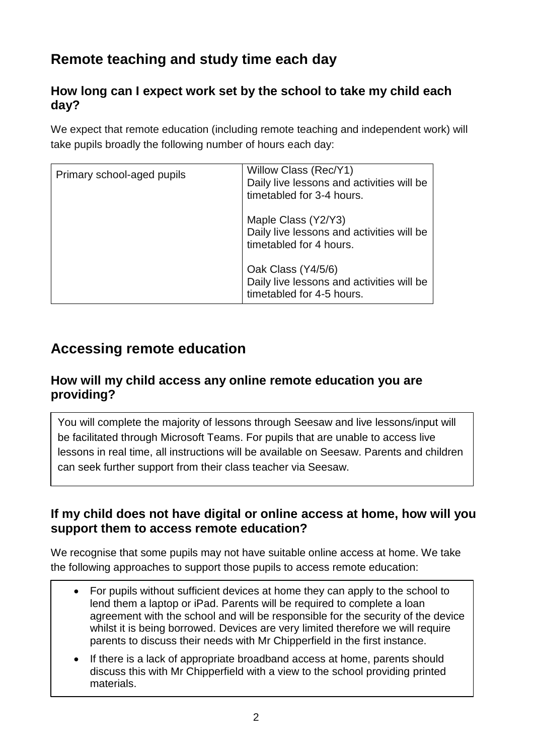# **Remote teaching and study time each day**

## **How long can I expect work set by the school to take my child each day?**

We expect that remote education (including remote teaching and independent work) will take pupils broadly the following number of hours each day:

| Primary school-aged pupils | Willow Class (Rec/Y1)<br>Daily live lessons and activities will be<br>timetabled for 3-4 hours. |
|----------------------------|-------------------------------------------------------------------------------------------------|
|                            | Maple Class (Y2/Y3)<br>Daily live lessons and activities will be<br>timetabled for 4 hours.     |
|                            | Oak Class (Y4/5/6)<br>Daily live lessons and activities will be<br>timetabled for 4-5 hours.    |

## **Accessing remote education**

### **How will my child access any online remote education you are providing?**

You will complete the majority of lessons through Seesaw and live lessons/input will be facilitated through Microsoft Teams. For pupils that are unable to access live lessons in real time, all instructions will be available on Seesaw. Parents and children can seek further support from their class teacher via Seesaw.

### **If my child does not have digital or online access at home, how will you support them to access remote education?**

We recognise that some pupils may not have suitable online access at home. We take the following approaches to support those pupils to access remote education:

- For pupils without sufficient devices at home they can apply to the school to lend them a laptop or iPad. Parents will be required to complete a loan agreement with the school and will be responsible for the security of the device whilst it is being borrowed. Devices are very limited therefore we will require parents to discuss their needs with Mr Chipperfield in the first instance.
- If there is a lack of appropriate broadband access at home, parents should discuss this with Mr Chipperfield with a view to the school providing printed materials.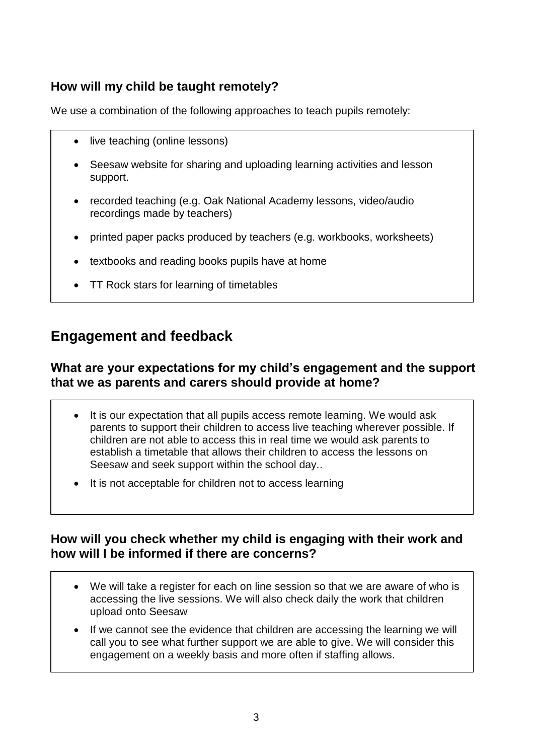## **How will my child be taught remotely?**

We use a combination of the following approaches to teach pupils remotely:

- live teaching (online lessons)
- Seesaw website for sharing and uploading learning activities and lesson support.
- recorded teaching (e.g. Oak National Academy lessons, video/audio recordings made by teachers)
- printed paper packs produced by teachers (e.g. workbooks, worksheets)
- textbooks and reading books pupils have at home
- TT Rock stars for learning of timetables

## **Engagement and feedback**

#### **What are your expectations for my child's engagement and the support that we as parents and carers should provide at home?**

- It is our expectation that all pupils access remote learning. We would ask parents to support their children to access live teaching wherever possible. If children are not able to access this in real time we would ask parents to establish a timetable that allows their children to access the lessons on Seesaw and seek support within the school day..
- It is not acceptable for children not to access learning

### **How will you check whether my child is engaging with their work and how will I be informed if there are concerns?**

- We will take a register for each on line session so that we are aware of who is accessing the live sessions. We will also check daily the work that children upload onto Seesaw
- If we cannot see the evidence that children are accessing the learning we will call you to see what further support we are able to give. We will consider this engagement on a weekly basis and more often if staffing allows.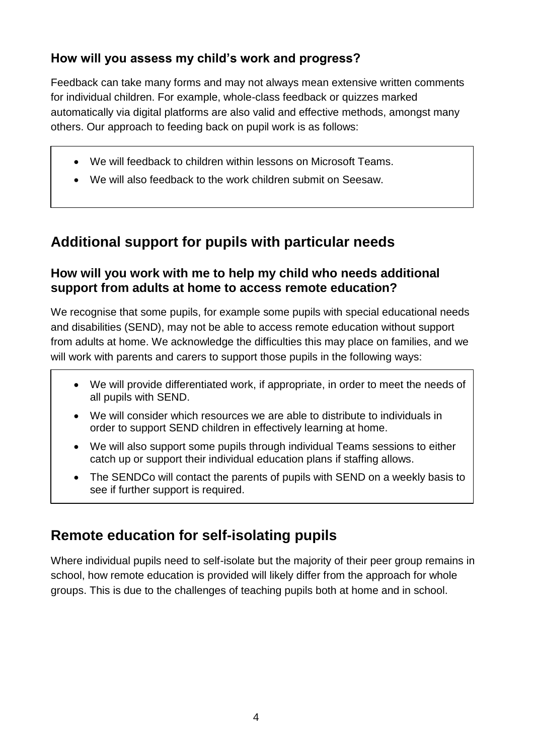## **How will you assess my child's work and progress?**

Feedback can take many forms and may not always mean extensive written comments for individual children. For example, whole-class feedback or quizzes marked automatically via digital platforms are also valid and effective methods, amongst many others. Our approach to feeding back on pupil work is as follows:

- We will feedback to children within lessons on Microsoft Teams.
- We will also feedback to the work children submit on Seesaw.

## **Additional support for pupils with particular needs**

## **How will you work with me to help my child who needs additional support from adults at home to access remote education?**

We recognise that some pupils, for example some pupils with special educational needs and disabilities (SEND), may not be able to access remote education without support from adults at home. We acknowledge the difficulties this may place on families, and we will work with parents and carers to support those pupils in the following ways:

- We will provide differentiated work, if appropriate, in order to meet the needs of all pupils with SEND.
- We will consider which resources we are able to distribute to individuals in order to support SEND children in effectively learning at home.
- We will also support some pupils through individual Teams sessions to either catch up or support their individual education plans if staffing allows.
- The SENDCo will contact the parents of pupils with SEND on a weekly basis to see if further support is required.

# **Remote education for self-isolating pupils**

Where individual pupils need to self-isolate but the majority of their peer group remains in school, how remote education is provided will likely differ from the approach for whole groups. This is due to the challenges of teaching pupils both at home and in school.